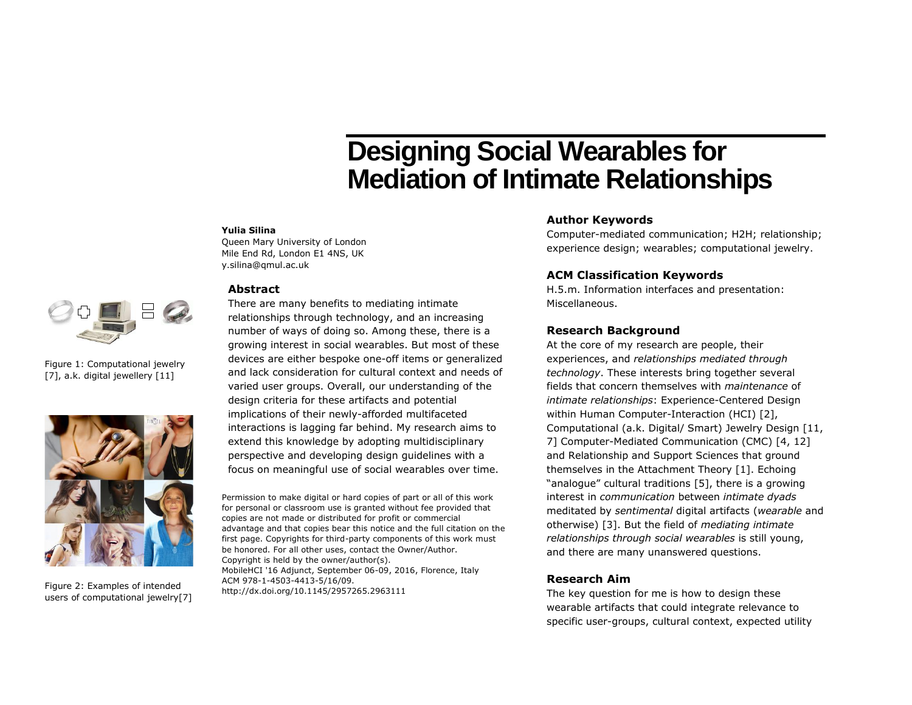# **Designing Social Wearables for Mediation of Intimate Relationships**

#### **Yulia Silina**

Queen Mary University of London Mile End Rd, London E1 4NS, UK y.silina@qmul.ac.uk

#### **Abstract**



Figure 1: Computational jewelry [7], a.k. digital jewellery [11]



Figure 2: Examples of intended users of computational jewelry[7]

## There are many benefits to mediating intimate relationships through technology, and an increasing number of ways of doing so. Among these, there is a growing interest in social wearables. But most of these devices are either bespoke one-off items or generalized and lack consideration for cultural context and needs of varied user groups. Overall, our understanding of the design criteria for these artifacts and potential implications of their newly-afforded multifaceted interactions is lagging far behind. My research aims to extend this knowledge by adopting multidisciplinary perspective and developing design guidelines with a focus on meaningful use of social wearables over time.

Permission to make digital or hard copies of part or all of this work for personal or classroom use is granted without fee provided that copies are not made or distributed for profit or commercial advantage and that copies bear this notice and the full citation on the first page. Copyrights for third-party components of this work must be honored. For all other uses, contact the Owner/Author. Copyright is held by the owner/author(s). MobileHCI '16 Adjunct, September 06-09, 2016, Florence, Italy ACM 978-1-4503-4413-5/16/09.

http://dx.doi.org/10.1145/2957265.2963111

### **Author Keywords**

Computer-mediated communication; H2H; relationship; experience design; wearables; computational jewelry.

### **ACM Classification Keywords**

H.5.m. Information interfaces and presentation: Miscellaneous.

#### **Research Background**

At the core of my research are people, their experiences, and *relationships mediated through technology*. These interests bring together several fields that concern themselves with *maintenance* of *intimate relationships*: Experience-Centered Design within Human Computer-Interaction (HCI) [2], Computational (a.k. Digital/ Smart) Jewelry Design [11, 7] Computer-Mediated Communication (CMC) [4, 12] and Relationship and Support Sciences that ground themselves in the Attachment Theory [1]. Echoing "analogue" cultural traditions [5], there is a growing interest in *communication* between *intimate dyads* meditated by *sentimental* digital artifacts (*wearable* and otherwise) [3]. But the field of *mediating intimate relationships through social wearables* is still young, and there are many unanswered questions.

### **Research Aim**

The key question for me is how to design these wearable artifacts that could integrate relevance to specific user-groups, cultural context, expected utility